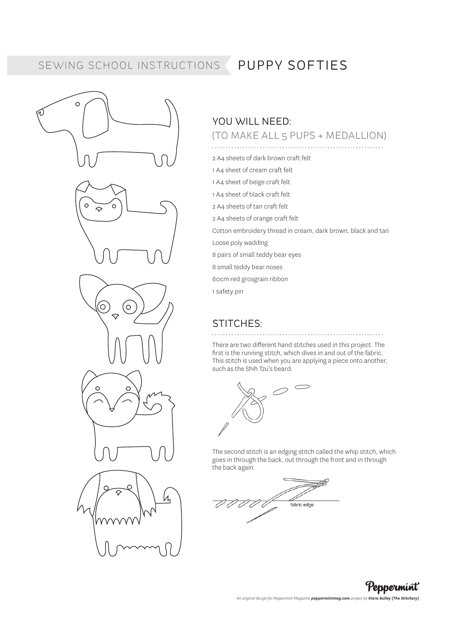## SEWING SCHOOL INSTRUCTIONS PUPPY SOFTIES

᠗

# $\circ$  $\Omega$  $\circ$  $\Diamond$  $\odot$ (ဝ  $\mathcal{U}_1$

### YOU WILL NEED: (TO MAKE ALL 5 PUPS + MEDALLION)

#### 

- 2 A4 sheets of dark brown craft felt
- 1 A4 sheet of cream craft felt
- 1 A4 sheet of beige craft felt
- 1 A4 sheet of black craft felt
- 2 A4 sheets of tan craft felt
- 2 A4 sheets of orange craft felt

Cotton embroidery thread in cream, dark brown, black and tan

Loose poly wadding

8 pairs of small teddy bear eyes

8 small teddy bear noses

60cm red grosgrain ribbon

1 safety pin

#### STITCHES:

#### There are two different hand stitches used in this project. The first is the running stitch, which dives in and out of the fabric. This stitch is used when you are applying a piece onto another, such as the Shih Tzu's beard:



The second stitch is an edging stitch called the whip stitch, which goes in through the back, out through the front and in through the back again:



Peppermint *An original design for Peppermint Magazine peppermintmag.com project by Kiara Bulley (The Stitchery)*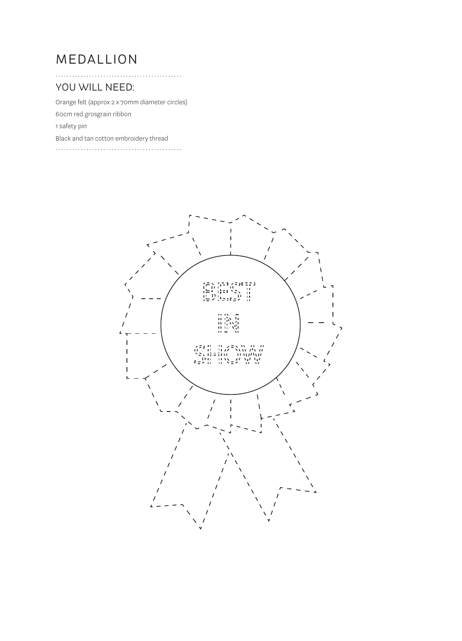# MEDALLION

. . . . . . . . . . . . . . . . .

#### YOU WILL NEED:

Orange felt (approx 2 x 70mm diameter circles)

60cm red grosgrain ribbon

1 safety pin

Black and tan cotton embroidery thread

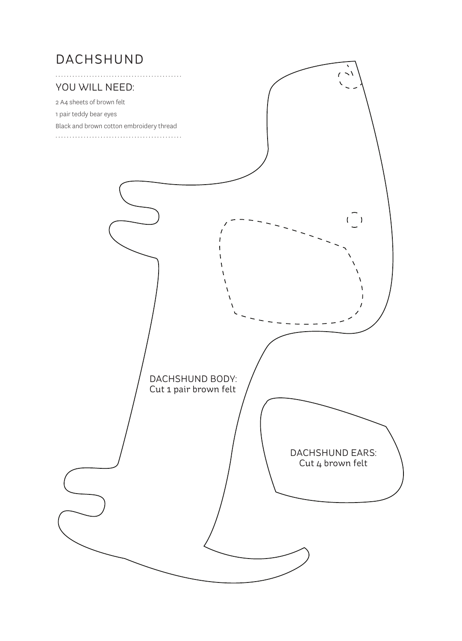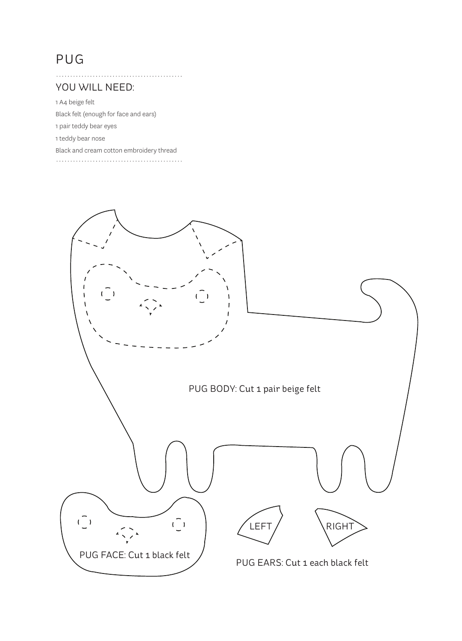# PUG

#### YOU WILL NEED:

1 A4 beige felt Black felt (enough for face and ears) 1 pair teddy bear eyes 1 teddy bear nose Black and cream cotton embroidery thread 

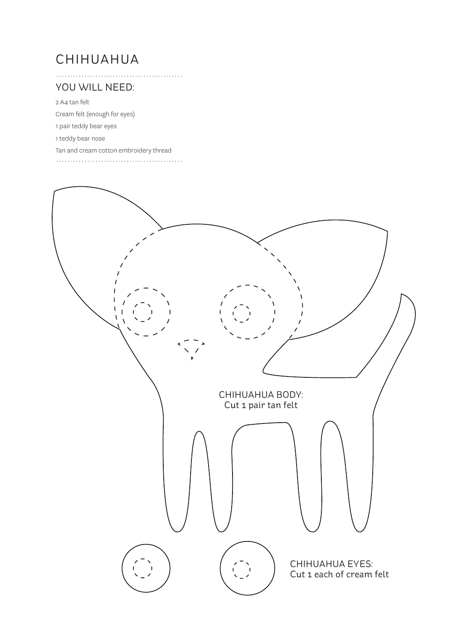# CHIHUAHUA

#### YOU WILL NEED:

2 A4 tan felt

Cream felt (enough for eyes)

1 pair teddy bear eyes

1 teddy bear nose

Tan and cream cotton embroidery thread

. . . . . . . . . . . . . . . . . . .

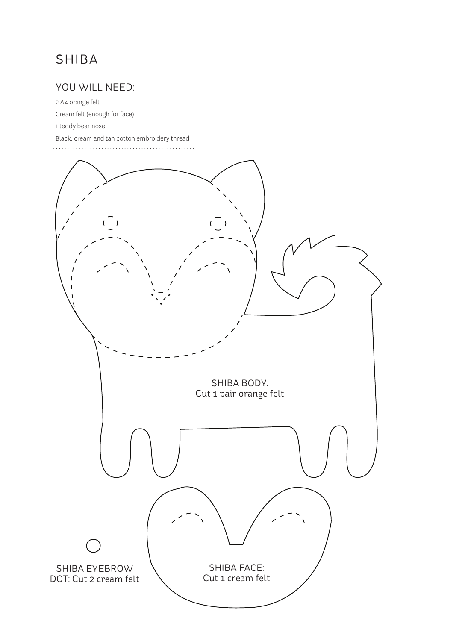# SHIBA

#### YOU WILL NEED:

2 A4 orange felt

Cream felt (enough for face)

1 teddy bear nose

Black, cream and tan cotton embroidery thread

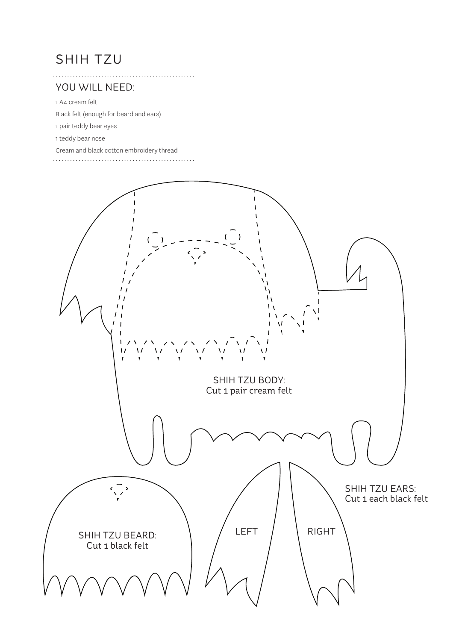# SHIH TZU

#### YOU WILL NEED:

1 A4 cream felt

Black felt (enough for beard and ears)

1 pair teddy bear eyes

1 teddy bear nose

Cream and black cotton embroidery thread

 $1.1.1.1.1.1$ 

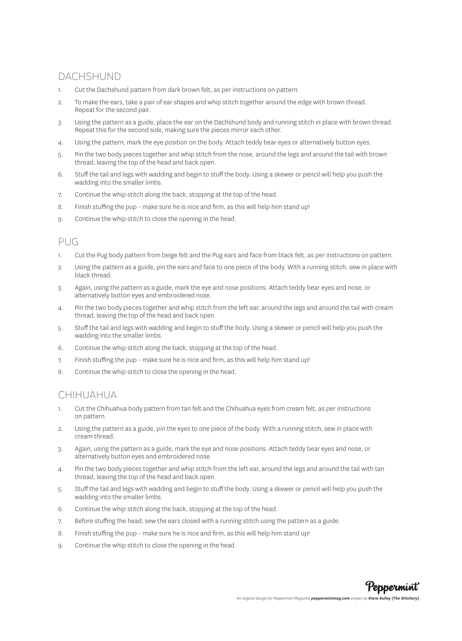### DACHSHUND

- 1. Cut the Dachshund pattern from dark brown felt, as per instructions on pattern.
- 2. To make the ears, take a pair of ear shapes and whip stitch together around the edge with brown thread. Repeat for the second pair.
- 3. Using the pattern as a guide, place the ear on the Dachshund body and running stitch in place with brown thread. Repeat this for the second side, making sure the pieces mirror each other.
- 4. Using the pattern, mark the eye position on the body. Attach teddy bear eyes or alternatively button eyes.
- 5. Pin the two body pieces together and whip stitch from the nose, around the legs and around the tail with brown thread, leaving the top of the head and back open.
- 6. Stuff the tail and legs with wadding and begin to stuff the body. Using a skewer or pencil will help you push the wadding into the smaller limbs.
- 7. Continue the whip stitch along the back, stopping at the top of the head.
- 8. Finish stuffing the pup make sure he is nice and firm, as this will help him stand up!
- 9. Continue the whip stitch to close the opening in the head.

#### $PIIG$

- 1. Cut the Pug body pattern from beige felt and the Pug ears and face from black felt, as per instructions on pattern.
- 2. Using the pattern as a guide, pin the ears and face to one piece of the body. With a running stitch, sew in place with black thread.
- 3. Again, using the pattern as a guide, mark the eye and nose positions. Attach teddy bear eyes and nose, or alternatively button eyes and embroidered nose.
- 4. Pin the two body pieces together and whip stitch from the left ear, around the legs and around the tail with cream thread, leaving the top of the head and back open.
- 5. Stuff the tail and legs with wadding and begin to stuff the body. Using a skewer or pencil will help you push the wadding into the smaller limbs.
- 6. Continue the whip stitch along the back, stopping at the top of the head.
- 7. Finish stuffing the pup make sure he is nice and firm, as this will help him stand up!
- 8. Continue the whip stitch to close the opening in the head.

#### CHIHUAHUA

- 1. Cut the Chihuahua body pattern from tan felt and the Chihuahua eyes from cream felt, as per instructions on pattern.
- 2. Using the pattern as a guide, pin the eyes to one piece of the body. With a running stitch, sew in place with cream thread.
- 3. Again, using the pattern as a guide, mark the eye and nose positions. Attach teddy bear eyes and nose, or alternatively button eyes and embroidered nose.
- 4. Pin the two body pieces together and whip stitch from the left ear, around the legs and around the tail with tan thread, leaving the top of the head and back open.
- 5. Stuff the tail and legs with wadding and begin to stuff the body. Using a skewer or pencil will help you push the wadding into the smaller limbs.
- 6. Continue the whip stitch along the back, stopping at the top of the head.
- 7. Before stuffing the head, sew the ears closed with a running stitch using the pattern as a guide.
- 8. Finish stuffing the pup make sure he is nice and firm, as this will help him stand up!
- 9. Continue the whip stitch to close the opening in the head.